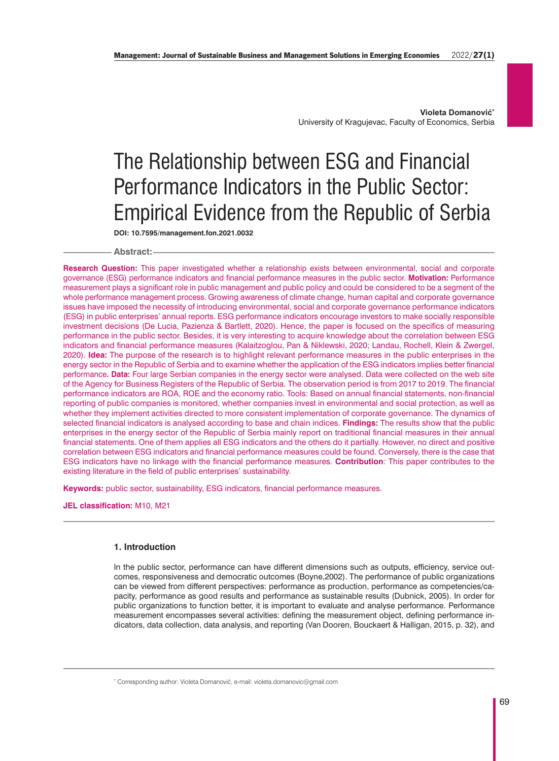**Violeta Domanović\*** University of Kragujevac, Faculty of Economics, Serbia

# The Relationship between ESG and Financial Performance Indicators in the Public Sector: Empirical Evidence from the Republic of Serbia

**DOI: 10.7595/management.fon.2021.0032**

# **Abstract:**

**Research Question:** This paper investigated whether a relationship exists between environmental, social and corporate governance (ESG) performance indicators and financial performance measures in the public sector. **Motivation:** Performance measurement plays a significant role in public management and public policy and could be considered to be a segment of the whole performance management process. Growing awareness of climate change, human capital and corporate governance issues have imposed the necessity of introducing environmental, social and corporate governance performance indicators (ESG) in public enterprises' annual reports. ESG performance indicators encourage investors to make socially responsible investment decisions (De Lucia, Pazienza & Bartlett, 2020). Hence, the paper is focused on the specifics of measuring performance in the public sector. Besides, it is very interesting to acquire knowledge about the correlation between ESG indicators and financial performance measures (Kalaitzoglou, Pan & Niklewski, 2020; Landau, Rochell, Klein & Zwergel, 2020). **Idea:** The purpose of the research is to highlight relevant performance measures in the public enterprises in the energy sector in the Republic of Serbia and to examine whether the application of the ESG indicators implies better financial performance**. Data:** Four large Serbian companies in the energy sector were analysed. Data were collected on the web site of the Agency for Business Registers of the Republic of Serbia. The observation period is from 2017 to 2019. The financial performance indicators are ROA, ROE and the economy ratio. Tools: Based on annual financial statements, non-financial reporting of public companies is monitored, whether companies invest in environmental and social protection, as well as whether they implement activities directed to more consistent implementation of corporate governance. The dynamics of selected financial indicators is analysed according to base and chain indices. **Findings:** The results show that the public enterprises in the energy sector of the Republic of Serbia mainly report on traditional financial measures in their annual financial statements. One of them applies all ESG indicators and the others do it partially. However, no direct and positive correlation between ESG indicators and financial performance measures could be found. Conversely, there is the case that ESG indicators have no linkage with the financial performance measures. **Contribution**: This paper contributes to the existing literature in the field of public enterprises' sustainability.

**Keywords:** public sector, sustainability, ESG indicators, financial performance measures.

**JEL classification:** M10, M21

# **1. Introduction**

In the public sector, performance can have different dimensions such as outputs, efficiency, service outcomes, responsiveness and democratic outcomes (Boyne,2002). The performance of public organizations can be viewed from different perspectives: performance as production, performance as competencies/capacity, performance as good results and performance as sustainable results (Dubnick, 2005). In order for public organizations to function better, it is important to evaluate and analyse performance. Performance measurement encompasses several activities: defining the measurement object, defining performance indicators, data collection, data analysis, and reporting (Van Dooren, Bouckaert & Halligan, 2015, p. 32), and

\* Corresponding author: Violeta Domanović, e-mail: violeta.domanovic@gmail.com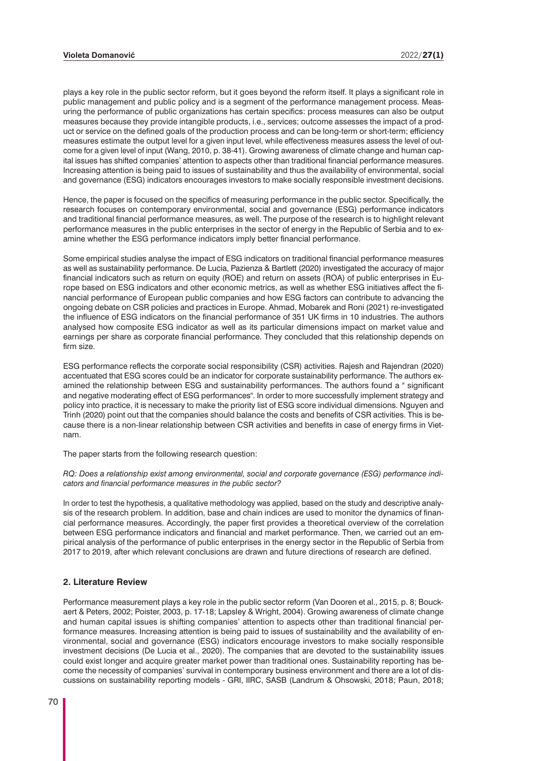plays a key role in the public sector reform, but it goes beyond the reform itself. It plays a significant role in public management and public policy and is a segment of the performance management process. Measuring the performance of public organizations has certain specifics: process measures can also be output measures because they provide intangible products, i.e., services; outcome assesses the impact of a product or service on the defined goals of the production process and can be long-term or short-term; efficiency measures estimate the output level for a given input level, while effectiveness measures assess the level of outcome for a given level of input (Wang, 2010, p. 38-41). Growing awareness of climate change and human capital issues has shifted companies' attention to aspects other than traditional financial performance measures. Increasing attention is being paid to issues of sustainability and thus the availability of environmental, social and governance (ESG) indicators encourages investors to make socially responsible investment decisions.

Hence, the paper is focused on the specifics of measuring performance in the public sector. Specifically, the research focuses on contemporary environmental, social and governance (ESG) performance indicators and traditional financial performance measures, as well. The purpose of the research is to highlight relevant performance measures in the public enterprises in the sector of energy in the Republic of Serbia and to examine whether the ESG performance indicators imply better financial performance.

Some empirical studies analyse the impact of ESG indicators on traditional financial performance measures as well as sustainability performance. De Lucia, Pazienza & Bartlett (2020) investigated the accuracy of major financial indicators such as return on equity (ROE) and return on assets (ROA) of public enterprises in Europe based on ESG indicators and other economic metrics, as well as whether ESG initiatives affect the financial performance of European public companies and how ESG factors can contribute to advancing the ongoing debate on CSR policies and practices in Europe. Ahmad, Mobarek and Roni (2021) re-investigated the influence of ESG indicators on the financial performance of 351 UK firms in 10 industries. The authors analysed how composite ESG indicator as well as its particular dimensions impact on market value and earnings per share as corporate financial performance. They concluded that this relationship depends on firm size.

ESG performance reflects the corporate social responsibility (CSR) activities. Rajesh and Rajendran (2020) accentuated that ESG scores could be an indicator for corporate sustainability performance. The authors examined the relationship between ESG and sustainability performances. The authors found a " significant and negative moderating effect of ESG performances". In order to more successfully implement strategy and policy into practice, it is necessary to make the priority list of ESG score individual dimensions. Nguyen and Trinh (2020) point out that the companies should balance the costs and benefits of CSR activities. This is because there is a non-linear relationship between CSR activities and benefits in case of energy firms in Vietnam.

The paper starts from the following research question:

*RQ: Does a relationship exist among environmental, social and corporate governance (ESG) performance indicators and financial performance measures in the public sector?*

In order to test the hypothesis, a qualitative methodology was applied, based on the study and descriptive analysis of the research problem. In addition, base and chain indices are used to monitor the dynamics of financial performance measures. Accordingly, the paper first provides a theoretical overview of the correlation between ESG performance indicators and financial and market performance. Then, we carried out an empirical analysis of the performance of public enterprises in the energy sector in the Republic of Serbia from 2017 to 2019, after which relevant conclusions are drawn and future directions of research are defined.

# **2. Literature Review**

Performance measurement plays a key role in the public sector reform (Van Dooren et al., 2015, p. 8; Bouckaert & Peters, 2002; Poister, 2003, p. 17-18; Lapsley & Wright, 2004). Growing awareness of climate change and human capital issues is shifting companies' attention to aspects other than traditional financial performance measures. Increasing attention is being paid to issues of sustainability and the availability of environmental, social and governance (ESG) indicators encourage investors to make socially responsible investment decisions (De Lucia et al., 2020). The companies that are devoted to the sustainability issues could exist longer and acquire greater market power than traditional ones. Sustainability reporting has become the necessity of companies' survival in contemporary business environment and there are a lot of discussions on sustainability reporting models - GRI, IIRC, SASB (Landrum & Ohsowski, 2018; Paun, 2018;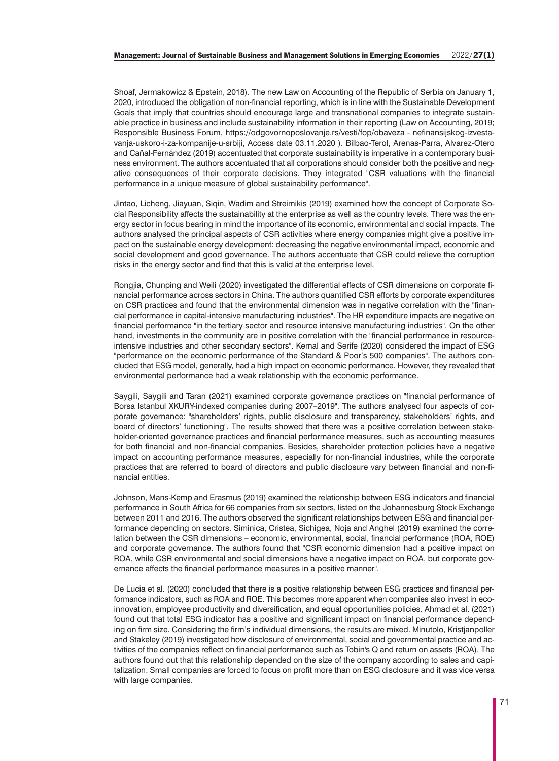Shoaf, Jermakowicz & Epstein, 2018). The new Law on Accounting of the Republic of Serbia on January 1, 2020, introduced the obligation of non-financial reporting, which is in line with the Sustainable Development Goals that imply that countries should encourage large and transnational companies to integrate sustainable practice in business and include sustainability information in their reporting (Law on Accounting, 2019; Responsible Business Forum, https://odgovornoposlovanje.rs/vesti/fop/obaveza - nefinansijskog-izvestavanja-uskoro-i-za-kompanije-u-srbiji, Access date 03.11.2020 ). Bilbao-Terol, Arenas-Parra, Alvarez-Otero and Cañal-Fernández (2019) accentuated that corporate sustainability is imperative in a contemporary business environment. The authors accentuated that all corporations should consider both the positive and negative consequences of their corporate decisions. They integrated "CSR valuations with the financial performance in a unique measure of global sustainability performance".

Jintao, Licheng, Jiayuan, Siqin, Wadim and Streimikis (2019) examined how the concept of Corporate Social Responsibility affects the sustainability at the enterprise as well as the country levels. There was the energy sector in focus bearing in mind the importance of its economic, environmental and social impacts. The authors analysed the principal aspects of CSR activities where energy companies might give a positive impact on the sustainable energy development: decreasing the negative environmental impact, economic and social development and good governance. The authors accentuate that CSR could relieve the corruption risks in the energy sector and find that this is valid at the enterprise level.

Rongjia, Chunping and Weili (2020) investigated the differential effects of CSR dimensions on corporate financial performance across sectors in China. The authors quantified CSR efforts by corporate expenditures on CSR practices and found that the environmental dimension was in negative correlation with the "financial performance in capital-intensive manufacturing industries". The HR expenditure impacts are negative on financial performance "in the tertiary sector and resource intensive manufacturing industries". On the other hand, investments in the community are in positive correlation with the "financial performance in resourceintensive industries and other secondary sectors". Kemal and Serife (2020) considered the impact of ESG "performance on the economic performance of the Standard & Poor's 500 companies". The authors concluded that ESG model, generally, had a high impact on economic performance. However, they revealed that environmental performance had a weak relationship with the economic performance.

Saygili, Saygili and Taran (2021) examined corporate governance practices on "financial performance of Borsa Istanbul XKURY-indexed companies during 2007–2019". The authors analysed four aspects of corporate governance: "shareholders' rights, public disclosure and transparency, stakeholders' rights, and board of directors' functioning". The results showed that there was a positive correlation between stakeholder-oriented governance practices and financial performance measures, such as accounting measures for both financial and non-financial companies. Besides, shareholder protection policies have a negative impact on accounting performance measures, especially for non-financial industries, while the corporate practices that are referred to board of directors and public disclosure vary between financial and non-financial entities.

Johnson, Mans-Kemp and Erasmus (2019) examined the relationship between ESG indicators and financial performance in South Africa for 66 companies from six sectors, listed on the Johannesburg Stock Exchange between 2011 and 2016. The authors observed the significant relationships between ESG and financial performance depending on sectors. Siminica, Cristea, Sichigea, Noja and Anghel (2019) examined the correlation between the CSR dimensions – economic, environmental, social, financial performance (ROA, ROE) and corporate governance. The authors found that "CSR economic dimension had a positive impact on ROA, while CSR environmental and social dimensions have a negative impact on ROA, but corporate governance affects the financial performance measures in a positive manner".

De Lucia et al. (2020) concluded that there is a positive relationship between ESG practices and financial performance indicators, such as ROA and ROE. This becomes more apparent when companies also invest in ecoinnovation, employee productivity and diversification, and equal opportunities policies. Ahmad et al. (2021) found out that total ESG indicator has a positive and significant impact on financial performance depending on firm size. Considering the firm's individual dimensions, the results are mixed. Minutolo, Kristjanpoller and Stakeley (2019) investigated how disclosure of environmental, social and governmental practice and activities of the companies reflect on financial performance such as Tobin's Q and return on assets (ROA). The authors found out that this relationship depended on the size of the company according to sales and capitalization. Small companies are forced to focus on profit more than on ESG disclosure and it was vice versa with large companies.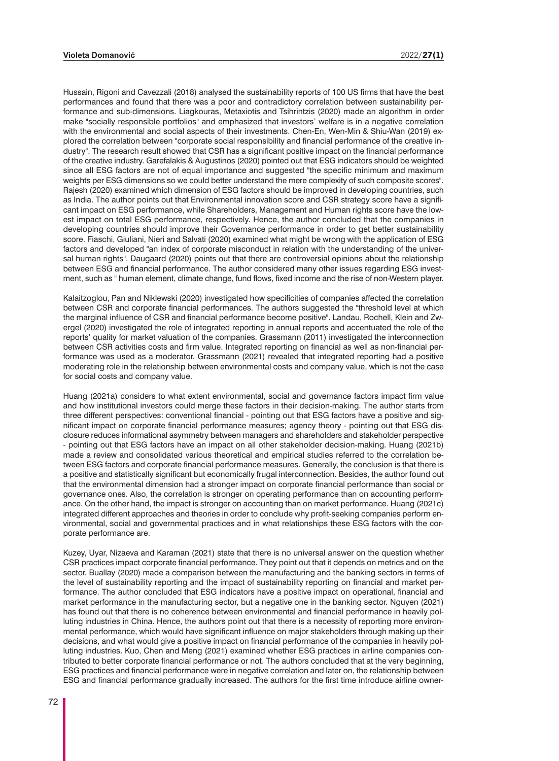Hussain, Rigoni and Cavezzali (2018) analysed the sustainability reports of 100 US firms that have the best performances and found that there was a poor and contradictory correlation between sustainability performance and sub-dimensions. Liagkouras, Metaxiotis and Tsihrintzis (2020) made an algorithm in order make "socially responsible portfolios" and emphasized that investors' welfare is in a negative correlation with the environmental and social aspects of their investments. Chen-En, Wen-Min & Shiu-Wan (2019) explored the correlation between "corporate social responsibility and financial performance of the creative industry". The research result showed that CSR has a significant positive impact on the financial performance of the creative industry. Garefalakis & Augustinos (2020) pointed out that ESG indicators should be weighted since all ESG factors are not of equal importance and suggested "the specific minimum and maximum weights per ESG dimensions so we could better understand the mere complexity of such composite scores". Rajesh (2020) examined which dimension of ESG factors should be improved in developing countries, such as India. The author points out that Environmental innovation score and CSR strategy score have a significant impact on ESG performance, while Shareholders, Management and Human rights score have the lowest impact on total ESG performance, respectively. Hence, the author concluded that the companies in developing countries should improve their Governance performance in order to get better sustainability score. Fiaschi, Giuliani, Nieri and Salvati (2020) examined what might be wrong with the application of ESG factors and developed "an index of corporate misconduct in relation with the understanding of the universal human rights". Daugaard (2020) points out that there are controversial opinions about the relationship between ESG and financial performance. The author considered many other issues regarding ESG investment, such as " human element, climate change, fund flows, fixed income and the rise of non-Western player.

Kalaitzoglou, Pan and Niklewski (2020) investigated how specificities of companies affected the correlation between CSR and corporate financial performances. The authors suggested the "threshold level at which the marginal influence of CSR and financial performance become positive". Landau, Rochell, Klein and Zwergel (2020) investigated the role of integrated reporting in annual reports and accentuated the role of the reports' quality for market valuation of the companies. Grassmann (2011) investigated the interconnection between CSR activities costs and firm value. Integrated reporting on financial as well as non-financial performance was used as a moderator. Grassmann (2021) revealed that integrated reporting had a positive moderating role in the relationship between environmental costs and company value, which is not the case for social costs and company value.

Huang (2021a) considers to what extent environmental, social and governance factors impact firm value and how institutional investors could merge these factors in their decision-making. The author starts from three different perspectives: conventional financial - pointing out that ESG factors have a positive and significant impact on corporate financial performance measures; agency theory - pointing out that ESG disclosure reduces informational asymmetry between managers and shareholders and stakeholder perspective - pointing out that ESG factors have an impact on all other stakeholder decision-making. Huang (2021b) made a review and consolidated various theoretical and empirical studies referred to the correlation between ESG factors and corporate financial performance measures. Generally, the conclusion is that there is a positive and statistically significant but economically frugal interconnection. Besides, the author found out that the environmental dimension had a stronger impact on corporate financial performance than social or governance ones. Also, the correlation is stronger on operating performance than on accounting performance. On the other hand, the impact is stronger on accounting than on market performance. Huang (2021c) integrated different approaches and theories in order to conclude why profit-seeking companies perform environmental, social and governmental practices and in what relationships these ESG factors with the corporate performance are.

Kuzey, Uyar, Nizaeva and Karaman (2021) state that there is no universal answer on the question whether CSR practices impact corporate financial performance. They point out that it depends on metrics and on the sector. Buallay (2020) made a comparison between the manufacturing and the banking sectors in terms of the level of sustainability reporting and the impact of sustainability reporting on financial and market performance. The author concluded that ESG indicators have a positive impact on operational, financial and market performance in the manufacturing sector, but a negative one in the banking sector. Nguyen (2021) has found out that there is no coherence between environmental and financial performance in heavily polluting industries in China. Hence, the authors point out that there is a necessity of reporting more environmental performance, which would have significant influence on major stakeholders through making up their decisions, and what would give a positive impact on financial performance of the companies in heavily polluting industries. Kuo, Chen and Meng (2021) examined whether ESG practices in airline companies contributed to better corporate financial performance or not. The authors concluded that at the very beginning, ESG practices and financial performance were in negative correlation and later on, the relationship between ESG and financial performance gradually increased. The authors for the first time introduce airline owner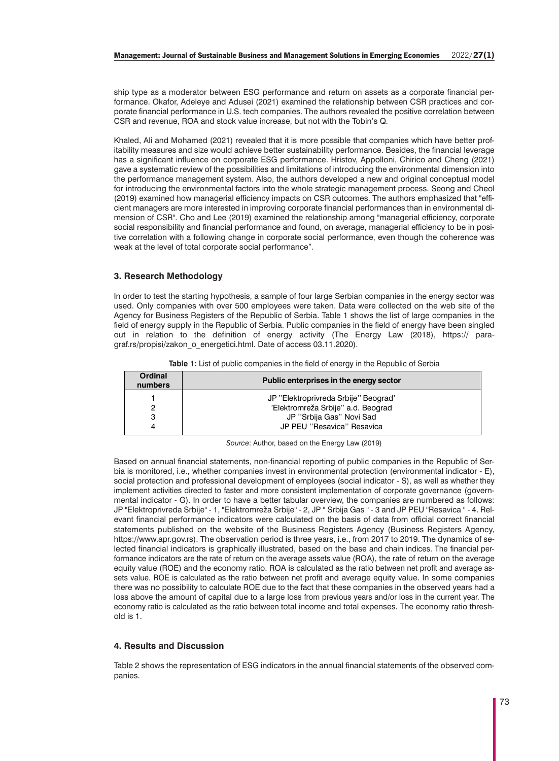ship type as a moderator between ESG performance and return on assets as a corporate financial performance. Okafor, Adeleye and Adusei (2021) examined the relationship between CSR practices and corporate financial performance in U.S. tech companies. The authors revealed the positive correlation between CSR and revenue, ROA and stock value increase, but not with the Tobin's Q.

Khaled, Ali and Mohamed (2021) revealed that it is more possible that companies which have better profitability measures and size would achieve better sustainability performance. Besides, the financial leverage has a significant influence on corporate ESG performance. Hristov, Appolloni, Chirico and Cheng (2021) gave a systematic review of the possibilities and limitations of introducing the environmental dimension into the performance management system. Also, the authors developed a new and original conceptual model for introducing the environmental factors into the whole strategic management process. Seong and Cheol (2019) examined how managerial efficiency impacts on CSR outcomes. The authors emphasized that "efficient managers are more interested in improving corporate financial performances than in environmental dimension of CSR". Cho and Lee (2019) examined the relationship among "managerial efficiency, corporate social responsibility and financial performance and found, on average, managerial efficiency to be in positive correlation with a following change in corporate social performance, even though the coherence was weak at the level of total corporate social performance".

# **3. Research Methodology**

In order to test the starting hypothesis, a sample of four large Serbian companies in the energy sector was used. Only companies with over 500 employees were taken. Data were collected on the web site of the Agency for Business Registers of the Republic of Serbia. Table 1 shows the list of large companies in the field of energy supply in the Republic of Serbia. Public companies in the field of energy have been singled out in relation to the definition of energy activity (The Energy Law (2018), https:// paragraf.rs/propisi/zakon\_o\_energetici.html. Date of access 03.11.2020).

| Ordinal<br>numbers | Public enterprises in the energy sector |
|--------------------|-----------------------------------------|
|                    | JP "Elektroprivreda Srbije" Beograd"    |
|                    | 'Elektromreža Srbije" a.d. Beograd      |
| з                  | JP "Srbija Gas" Novi Sad                |
|                    | JP PEU "Resavica" Resavica              |

**Table 1:** List of public companies in the field of energy in the Republic of Serbia

*Source*: Author, based on the Energy Law (2019)

Based on annual financial statements, non-financial reporting of public companies in the Republic of Serbia is monitored, i.e., whether companies invest in environmental protection (environmental indicator - E), social protection and professional development of employees (social indicator - S), as well as whether they implement activities directed to faster and more consistent implementation of corporate governance (governmental indicator - G). In order to have a better tabular overview, the companies are numbered as follows: JP "Elektroprivreda Srbije" - 1, "Elektromreža Srbije'' - 2, JP '' Srbija Gas '' - 3 and JP PEU ''Resavica '' - 4. Relevant financial performance indicators were calculated on the basis of data from official correct financial statements published on the website of the Business Registers Agency (Business Registers Agency, https://www.apr.gov.rs). The observation period is three years, i.e., from 2017 to 2019. The dynamics of selected financial indicators is graphically illustrated, based on the base and chain indices. The financial performance indicators are the rate of return on the average assets value (ROA), the rate of return on the average equity value (ROE) and the economy ratio. ROA is calculated as the ratio between net profit and average assets value. ROE is calculated as the ratio between net profit and average equity value. In some companies there was no possibility to calculate ROE due to the fact that these companies in the observed years had a loss above the amount of capital due to a large loss from previous years and/or loss in the current year. The economy ratio is calculated as the ratio between total income and total expenses. The economy ratio threshold is 1.

# **4. Results and Discussion**

Table 2 shows the representation of ESG indicators in the annual financial statements of the observed companies.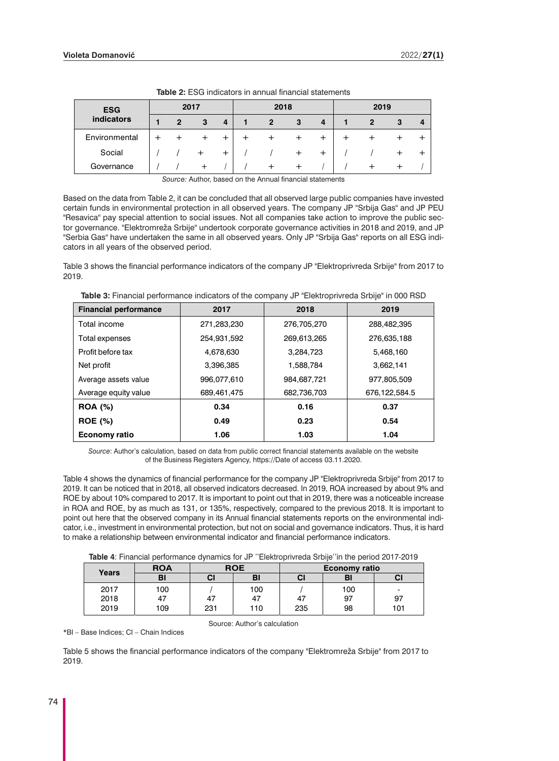| <b>ESG</b>    |   | 2017 |   | 2018 |   |          | 2019 |   |  |
|---------------|---|------|---|------|---|----------|------|---|--|
| indicators    | 2 | 3    | 4 | 2    | 3 | 4        |      | з |  |
| Environmental |   |      |   |      |   | $\,{}^+$ |      |   |  |
| Social        |   |      | + |      |   | $\pm$    |      |   |  |
| Governance    |   |      |   |      |   |          |      |   |  |

**Table 2:** ESG indicators in annual financial statements

*Source:* Author, based on the Annual financial statements

Based on the data from Table 2, it can be concluded that all observed large public companies have invested certain funds in environmental protection in all observed years. The company JP ''Srbija Gas'' and JP PEU ''Resavica'' pay special attention to social issues. Not all companies take action to improve the public sector governance. ''Elektromreža Srbije'' undertook corporate governance activities in 2018 and 2019, and JP ''Serbia Gas'' have undertaken the same in all observed years. Only JP ''Srbija Gas'' reports on all ESG indicators in all years of the observed period.

Table 3 shows the financial performance indicators of the company JP "Elektroprivreda Srbije" from 2017 to 2019.

| <b>Financial performance</b> | 2017        | 2018        | 2019          |
|------------------------------|-------------|-------------|---------------|
| Total income                 | 271,283,230 | 276,705,270 | 288,482,395   |
| Total expenses               | 254,931,592 | 269,613,265 | 276,635,188   |
| Profit before tax            | 4,678,630   | 3,284,723   | 5,468,160     |
| Net profit                   | 3,396,385   | 1,588,784   | 3,662,141     |
| Average assets value         | 996,077,610 | 984.687.721 | 977,805,509   |
| Average equity value         | 689,461,475 | 682.736.703 | 676,122,584.5 |
| <b>ROA</b> (%)               | 0.34        | 0.16        | 0.37          |
| <b>ROE</b> (%)               | 0.49        | 0.23        | 0.54          |
| <b>Economy ratio</b>         | 1.06        | 1.03        | 1.04          |

**Table 3:** Financial performance indicators of the company JP "Elektroprivreda Srbije" in 000 RSD

*Source*: Author's calculation, based on data from public correct financial statements available on the website of the Business Registers Agency, https://Date of access 03.11.2020.

Table 4 shows the dynamics of financial performance for the company JP "Elektroprivreda Srbije" from 2017 to 2019. It can be noticed that in 2018, all observed indicators decreased. In 2019, ROA increased by about 9% and ROE by about 10% compared to 2017. It is important to point out that in 2019, there was a noticeable increase in ROA and ROE, by as much as 131, or 135%, respectively, compared to the previous 2018. It is important to point out here that the observed company in its Annual financial statements reports on the environmental indicator, i.e., investment in environmental protection, but not on social and governance indicators. Thus, it is hard to make a relationship between environmental indicator and financial performance indicators.

| Table 4: Financial performance dynamics for JP "Elektroprivreda Srbije"in the period 2017-2019 |  |  |  |  |
|------------------------------------------------------------------------------------------------|--|--|--|--|
|------------------------------------------------------------------------------------------------|--|--|--|--|

| Years | <b>ROA</b> |     | <b>ROE</b> |     | <b>Economy ratio</b> |     |
|-------|------------|-----|------------|-----|----------------------|-----|
|       | BI         | СI  | BI         | СI  | BI                   | CI  |
| 2017  | 100        |     | 100        |     | 100                  | -   |
| 2018  | 47         | 47  | 47         | 47  | 97                   | 97  |
| 2019  | 109        | 231 | 110        | 235 | 98                   | 101 |

\*BI – Base Indices; CI – Chain Indices

Source: Author's calculation

Table 5 shows the financial performance indicators of the company "Elektromreža Srbije" from 2017 to 2019.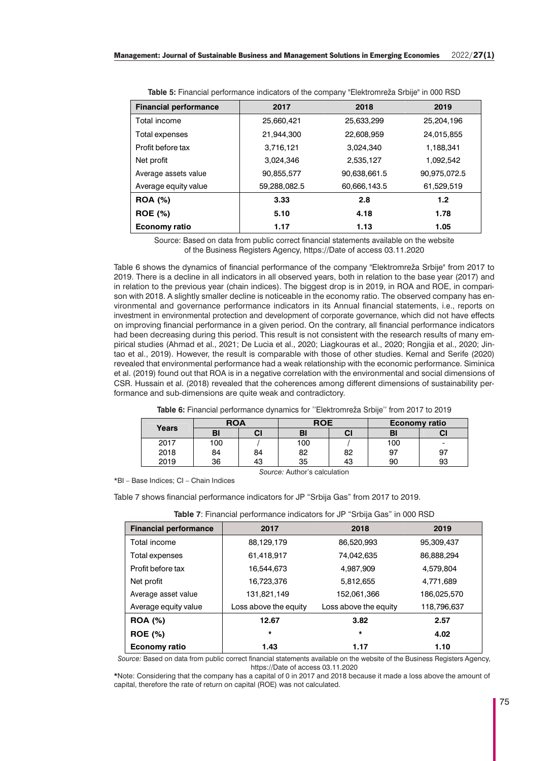| <b>Financial performance</b> | 2017         | 2018         | 2019         |
|------------------------------|--------------|--------------|--------------|
| Total income                 | 25,660,421   | 25,633,299   | 25,204,196   |
| Total expenses               | 21,944,300   | 22,608,959   | 24,015,855   |
| Profit before tax            | 3,716,121    | 3,024,340    | 1,188,341    |
| Net profit                   | 3,024,346    | 2,535,127    | 1,092,542    |
| Average assets value         | 90,855,577   | 90,638,661.5 | 90,975,072.5 |
| Average equity value         | 59,288,082.5 | 60,666,143.5 | 61,529,519   |
| <b>ROA</b> (%)               | 3.33         | 2.8          | 1.2          |
| <b>ROE</b> (%)               | 5.10         | 4.18         | 1.78         |
| Economy ratio                | 1.17         | 1.13         | 1.05         |

**Table 5:** Financial performance indicators of the company "Elektromreža Srbije" in 000 RSD

Source: Based on data from public correct financial statements available on the website of the Business Registers Agency, https://Date of access 03.11.2020

Table 6 shows the dynamics of financial performance of the company "Elektromreža Srbije" from 2017 to 2019. There is a decline in all indicators in all observed years, both in relation to the base year (2017) and in relation to the previous year (chain indices). The biggest drop is in 2019, in ROA and ROE, in comparison with 2018. A slightly smaller decline is noticeable in the economy ratio. The observed company has environmental and governance performance indicators in its Annual financial statements, i.e., reports on investment in environmental protection and development of corporate governance, which did not have effects on improving financial performance in a given period. On the contrary, all financial performance indicators had been decreasing during this period. This result is not consistent with the research results of many empirical studies (Ahmad et al., 2021; De Lucia et al., 2020; Liagkouras et al., 2020; Rongjia et al., 2020; Jintao et al., 2019). However, the result is comparable with those of other studies. Kemal and Serife (2020) revealed that environmental performance had a weak relationship with the economic performance. Siminica et al. (2019) found out that ROA is in a negative correlation with the environmental and social dimensions of CSR. Hussain et al. (2018) revealed that the coherences among different dimensions of sustainability performance and sub-dimensions are quite weak and contradictory.

| Table 6: Financial performance dynamics for "Elektromreža Srbije" from 2017 to 2019 |  |  |  |  |  |  |
|-------------------------------------------------------------------------------------|--|--|--|--|--|--|
|-------------------------------------------------------------------------------------|--|--|--|--|--|--|

|       | <b>ROA</b> |    | <b>ROE</b> |    | <b>Economy ratio</b> |    |  |
|-------|------------|----|------------|----|----------------------|----|--|
| Years | BI         | CI | BI         | u  |                      |    |  |
| 2017  | 100        |    | 100        |    | 100                  |    |  |
| 2018  | 84         | 84 | 82         | 82 | 97                   | 97 |  |
| 2019  | 36         | 43 | 35         | 43 | 90                   | 93 |  |

*Source:* Author's calculation

\*BI – Base Indices; CI – Chain Indices

Table 7 shows financial performance indicators for JP "Srbija Gas" from 2017 to 2019.

| <b>Financial performance</b> | 2017                  | 2018                  | 2019        |  |  |  |  |
|------------------------------|-----------------------|-----------------------|-------------|--|--|--|--|
| Total income                 | 88,129,179            | 86,520,993            | 95,309,437  |  |  |  |  |
| Total expenses               | 61,418,917            | 74,042,635            | 86,888,294  |  |  |  |  |
| Profit before tax            | 16,544,673            | 4,987,909             | 4,579,804   |  |  |  |  |
| Net profit                   | 16,723,376            | 5,812,655             | 4,771,689   |  |  |  |  |
| Average asset value          | 131,821,149           | 152,061,366           | 186,025,570 |  |  |  |  |
| Average equity value         | Loss above the equity | Loss above the equity | 118,796,637 |  |  |  |  |
| <b>ROA</b> (%)               | 12.67                 | 3.82                  | 2.57        |  |  |  |  |
| <b>ROE (%)</b>               | $\star$               | $\star$               | 4.02        |  |  |  |  |
| Economy ratio                | 1.43                  | 1.17                  | 1.10        |  |  |  |  |

**Table 7:** Financial performance indicators for JP "Srbija Gas" in 000 RSD

*Source:* Based on data from public correct financial statements available on the website of the Business Registers Agency, https://Date of access 03.11.2020

**\***Note: Considering that the company has a capital of 0 in 2017 and 2018 because it made a loss above the amount of capital, therefore the rate of return on capital (ROE) was not calculated.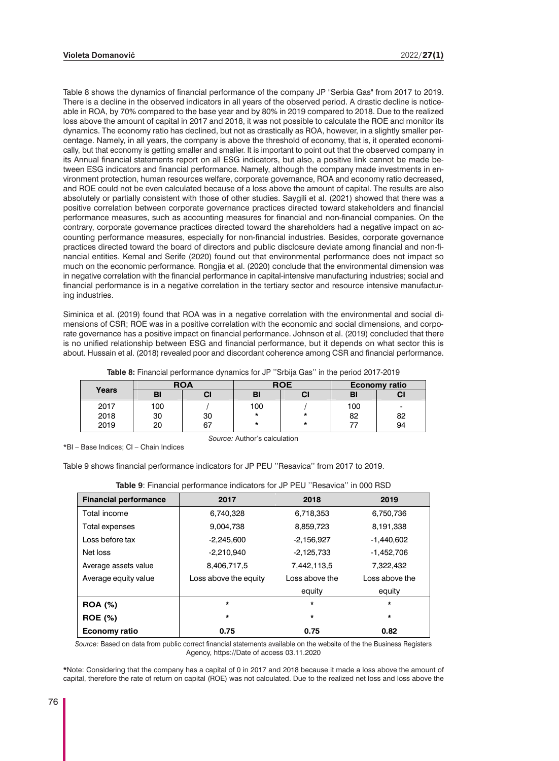Table 8 shows the dynamics of financial performance of the company JP "Serbia Gas" from 2017 to 2019. There is a decline in the observed indicators in all years of the observed period. A drastic decline is noticeable in ROA, by 70% compared to the base year and by 80% in 2019 compared to 2018. Due to the realized loss above the amount of capital in 2017 and 2018, it was not possible to calculate the ROE and monitor its dynamics. The economy ratio has declined, but not as drastically as ROA, however, in a slightly smaller percentage. Namely, in all years, the company is above the threshold of economy, that is, it operated economically, but that economy is getting smaller and smaller. It is important to point out that the observed company in its Annual financial statements report on all ESG indicators, but also, a positive link cannot be made between ESG indicators and financial performance. Namely, although the company made investments in environment protection, human resources welfare, corporate governance, ROA and economy ratio decreased, and ROE could not be even calculated because of a loss above the amount of capital. The results are also absolutely or partially consistent with those of other studies. Saygili et al. (2021) showed that there was a positive correlation between corporate governance practices directed toward stakeholders and financial performance measures, such as accounting measures for financial and non-financial companies. On the contrary, corporate governance practices directed toward the shareholders had a negative impact on accounting performance measures, especially for non-financial industries. Besides, corporate governance practices directed toward the board of directors and public disclosure deviate among financial and non-financial entities. Kemal and Serife (2020) found out that environmental performance does not impact so much on the economic performance. Rongjia et al. (2020) conclude that the environmental dimension was in negative correlation with the financial performance in capital-intensive manufacturing industries; social and financial performance is in a negative correlation in the tertiary sector and resource intensive manufacturing industries.

Siminica et al. (2019) found that ROA was in a negative correlation with the environmental and social dimensions of CSR; ROE was in a positive correlation with the economic and social dimensions, and corporate governance has a positive impact on financial performance. Johnson et al. (2019) concluded that there is no unified relationship between ESG and financial performance, but it depends on what sector this is about. Hussain et al. (2018) revealed poor and discordant coherence among CSR and financial performance.

| Years | <b>ROA</b> |    |         | <b>ROE</b> |     | <b>Economy ratio</b> |
|-------|------------|----|---------|------------|-----|----------------------|
|       | BI         | СI | BI      | СI         | BI  | СI                   |
| 2017  | 100        |    | 100     |            | 100 |                      |
| 2018  | 30         | 30 | $\star$ | *          | 82  | 82                   |
| 2019  | 20         | 67 | *       | *          |     | 94                   |

*Source:* Author's calculation

**Table 8:** Financial performance dynamics for JP ''Srbija Gas'' in the period 2017-2019

\*BI – Base Indices; CI – Chain Indices

Table 9 shows financial performance indicators for JP PEU ''Resavica'' from 2017 to 2019.

| <b>Financial performance</b> | 2017                  | 2018           | 2019           |
|------------------------------|-----------------------|----------------|----------------|
| Total income                 | 6,740,328             | 6,718,353      | 6,750,736      |
| Total expenses               | 9,004,738             | 8,859,723      | 8,191,338      |
| Loss before tax              | $-2,245,600$          | $-2,156,927$   | $-1,440,602$   |
| Net loss                     | $-2,210,940$          | $-2,125,733$   | $-1,452,706$   |
| Average assets value         | 8,406,717,5           | 7,442,113,5    | 7,322,432      |
| Average equity value         | Loss above the equity | Loss above the | Loss above the |
|                              |                       | equity         | equity         |
| <b>ROA</b> (%)               | $\star$               | $\star$        | $\star$        |
| <b>ROE</b> (%)               | $\star$               | *              | $\star$        |
| <b>Economy ratio</b>         | 0.75                  | 0.75           | 0.82           |

**Table 9**: Financial performance indicators for JP PEU ''Resavica'' in 000 RSD

*Source:* Based on data from public correct financial statements available on the website of the the Business Registers Agency, https://Date of access 03.11.2020

**\***Note: Considering that the company has a capital of 0 in 2017 and 2018 because it made a loss above the amount of capital, therefore the rate of return on capital (ROE) was not calculated. Due to the realized net loss and loss above the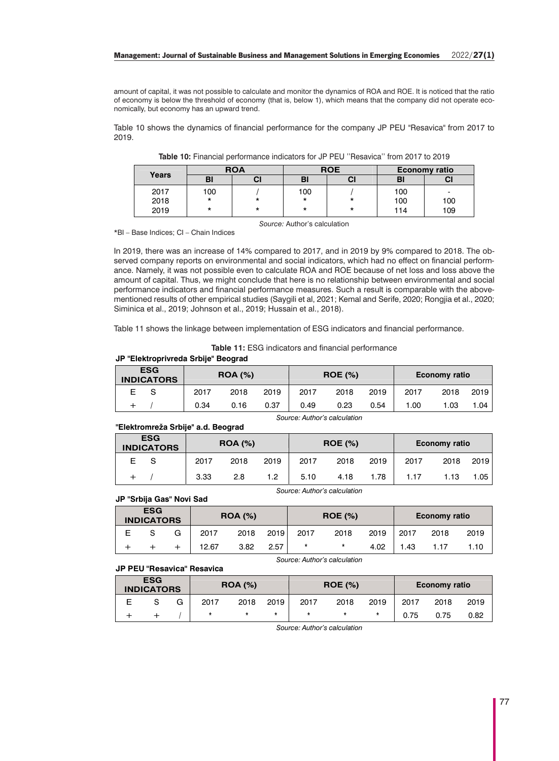### **Management: Journal of Sustainable Business and Management Solutions in Emerging Economies** 2022/**27(1)**

amount of capital, it was not possible to calculate and monitor the dynamics of ROA and ROE. It is noticed that the ratio of economy is below the threshold of economy (that is, below 1), which means that the company did not operate economically, but economy has an upward trend.

Table 10 shows the dynamics of financial performance for the company JP PEU "Resavica" from 2017 to 2019.

|              |         | <b>ROA</b> |     | <b>ROE</b> |     | <b>Economy ratio</b> |
|--------------|---------|------------|-----|------------|-----|----------------------|
| <b>Years</b> | B.      | СI         | вı  |            | BI  |                      |
| 2017         | 100     |            | 100 |            | 100 | -                    |
| 2018         | $\star$ | *          | *   | $\star$    | 100 | 100                  |
| 2019         | $\star$ | *          | *   | $\star$    | 114 | 109                  |

*Source:* Author's calculation

**Table 10:** Financial performance indicators for JP PEU ''Resavica'' from 2017 to 2019

\*BI – Base Indices; CI – Chain Indices

In 2019, there was an increase of 14% compared to 2017, and in 2019 by 9% compared to 2018. The observed company reports on environmental and social indicators, which had no effect on financial performance. Namely, it was not possible even to calculate ROA and ROE because of net loss and loss above the amount of capital. Thus, we might conclude that here is no relationship between environmental and social performance indicators and financial performance measures. Such a result is comparable with the abovementioned results of other empirical studies (Saygili et al, 2021; Kemal and Serife, 2020; Rongjia et al., 2020; Siminica et al., 2019; Johnson et al., 2019; Hussain et al., 2018).

Table 11 shows the linkage between implementation of ESG indicators and financial performance.

**Table 11:** ESG indicators and financial performance

#### JP "Elektroprivreda Srbije" Beograd

| <b>ESG</b><br><b>INDICATORS</b> |  | <b>ROA (%)</b> |      |      | <b>ROE (%)</b> |      |      | <b>Economy ratio</b> |      |      |
|---------------------------------|--|----------------|------|------|----------------|------|------|----------------------|------|------|
|                                 |  | 2017           | 2018 | 2019 | 2017           | 2018 | 2019 | 2017                 | 2018 | 2019 |
|                                 |  | 0.34           | 0.16 | 0.37 | 0.49           | 0.23 | 0.54 | .00                  | .03  | .04  |

Source: Author's calculation

Source: Author's calculation

## "Elektromreža Srbije" a.d. Beograd

| <b>ESG</b><br><b>INDICATORS</b> |  | <b>ROA (%)</b> |      |      | <b>ROE</b> (%) |      |      | Economy ratio |      |      |
|---------------------------------|--|----------------|------|------|----------------|------|------|---------------|------|------|
| E.                              |  | 2017           | 2018 | 2019 | 2017           | 2018 | 2019 | 2017          | 2018 | 2019 |
|                                 |  | 3.33           | 2.8  | 1.2  | 5.10           | 4.18 | 1.78 | 1.17          | .13  | 1.05 |

#### JP "Srbija Gas" Novi Sad

| <b>ESG</b><br><b>INDICATORS</b> |  |   | <b>ROA (%)</b> |      |      | <b>ROE (%)</b> |      |      | <b>Economy ratio</b> |      |      |
|---------------------------------|--|---|----------------|------|------|----------------|------|------|----------------------|------|------|
| Ε                               |  | G | 2017           | 2018 | 2019 | 2017           | 2018 | 2019 | 2017                 | 2018 | 2019 |
|                                 |  |   | 12.67          | 3.82 | 2.57 | $\star$        | *    | 4.02 | 1.43                 |      | .10  |

Source: Author's calculation

## **JP PEU "Resavica" Resavica**

| <b>ESG</b><br><b>INDICATORS</b> |  |   | <b>ROA</b> (%) |      |      | <b>ROE (%)</b> |      |      | <b>Economy ratio</b> |      |      |
|---------------------------------|--|---|----------------|------|------|----------------|------|------|----------------------|------|------|
|                                 |  | G | 2017           | 2018 | 2019 | 2017           | 2018 | 2019 | 2017                 | 2018 | 2019 |
|                                 |  |   |                |      |      | *              |      |      | 0.75                 | 0.75 | 0.82 |

Source: Author's calculation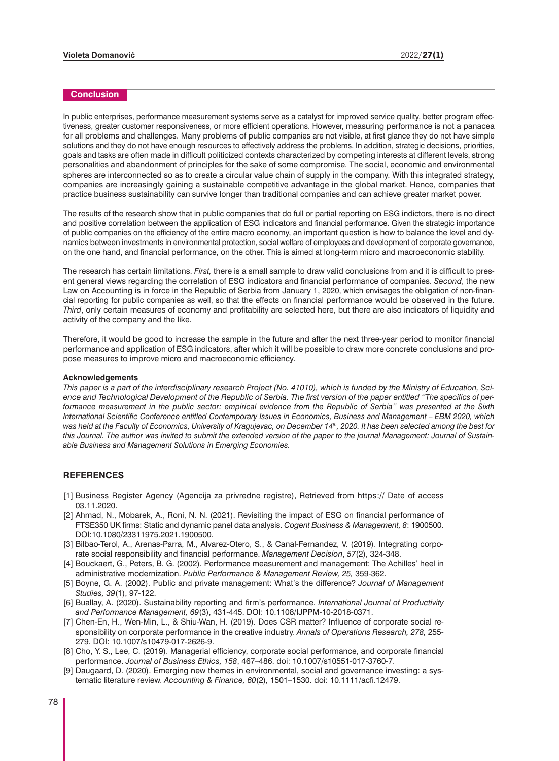# **Conclusion**

In public enterprises, performance measurement systems serve as a catalyst for improved service quality, better program effectiveness, greater customer responsiveness, or more efficient operations. However, measuring performance is not a panacea for all problems and challenges. Many problems of public companies are not visible, at first glance they do not have simple solutions and they do not have enough resources to effectively address the problems. In addition, strategic decisions, priorities, goals and tasks are often made in difficult politicized contexts characterized by competing interests at different levels, strong personalities and abandonment of principles for the sake of some compromise. The social, economic and environmental spheres are interconnected so as to create a circular value chain of supply in the company. With this integrated strategy, companies are increasingly gaining a sustainable competitive advantage in the global market. Hence, companies that practice business sustainability can survive longer than traditional companies and can achieve greater market power.

The results of the research show that in public companies that do full or partial reporting on ESG indictors, there is no direct and positive correlation between the application of ESG indicators and financial performance. Given the strategic importance of public companies on the efficiency of the entire macro economy, an important question is how to balance the level and dynamics between investments in environmental protection, social welfare of employees and development of corporate governance, on the one hand, and financial performance, on the other. This is aimed at long-term micro and macroeconomic stability.

The research has certain limitations. *First,* there is a small sample to draw valid conclusions from and it is difficult to present general views regarding the correlation of ESG indicators and financial performance of companies*. Second*, the new Law on Accounting is in force in the Republic of Serbia from January 1, 2020, which envisages the obligation of non-financial reporting for public companies as well, so that the effects on financial performance would be observed in the future. *Third*, only certain measures of economy and profitability are selected here, but there are also indicators of liquidity and activity of the company and the like.

Therefore, it would be good to increase the sample in the future and after the next three-year period to monitor financial performance and application of ESG indicators, after which it will be possible to draw more concrete conclusions and propose measures to improve micro and macroeconomic efficiency.

#### **Acknowledgements**

*This paper is a part of the interdisciplinary research Project (No. 41010), which is funded by the Ministry of Education, Science and Technological Development of the Republic of Serbia. The first version of the paper entitled ''The specifics of performance measurement in the public sector: empirical evidence from the Republic of Serbia'' was presented at the Sixth International Scientific Conference entitled Contemporary Issues in Economics, Business and Management – EBM 2020, which was held at the Faculty of Economics, University of Kragujevac, on December 14th, 2020. It has been selected among the best for this Journal. The author was invited to submit the extended version of the paper to the journal Management: Journal of Sustainable Business and Management Solutions in Emerging Economies.* 

## **REFERENCES**

- [1] Business Register Agency (Agencija za privredne registre), Retrieved from https:// Date of access 03.11.2020.
- [2] Ahmad, N., Mobarek, A., Roni, N. N. (2021). Revisiting the impact of ESG on financial performance of FTSE350 UK firms: Static and dynamic panel data analysis. *Cogent Business & Management, 8*: 1900500. DOI:10.1080/23311975.2021.1900500.
- [3] Bilbao-Terol, A., Arenas-Parra, M., Alvarez-Otero, S., & Canal-Fernandez, V. (2019). Integrating corporate social responsibility and financial performance. *Management Decision*, *57*(2), 324-348.
- [4] Bouckaert, G., Peters, B. G. (2002). Performance measurement and management: The Achilles' heel in administrative modernization. *Public Performance & Management Review, 25,* 359-362.
- [5] Boyne, G. A. (2002). Public and private management: What's the difference? *Journal of Management Studies, 39*(1), 97-122.
- [6] Buallay, A. (2020). Sustainability reporting and firm's performance. *International Journal of Productivity and Performance Management, 69*(3), 431-445. DOI: 10.1108/IJPPM-10-2018-0371.
- [7] Chen-En, H., Wen-Min, L., & Shiu-Wan, H. (2019). Does CSR matter? Influence of corporate social responsibility on corporate performance in the creative industry. *Annals of Operations Research, 278,* 255- 279. DOI: 10.1007/s10479-017-2626-9.
- [8] Cho, Y. S., Lee, C. (2019). Managerial efficiency, corporate social performance, and corporate financial performance. *Journal of Business Ethics, 158*, 467–486. doi: 10.1007/s10551-017-3760-7.
- [9] Daugaard, D. (2020). Emerging new themes in environmental, social and governance investing: a systematic literature review. *Accounting & Finance, 60*(2)*,* 1501–1530. doi: 10.1111/acfi.12479.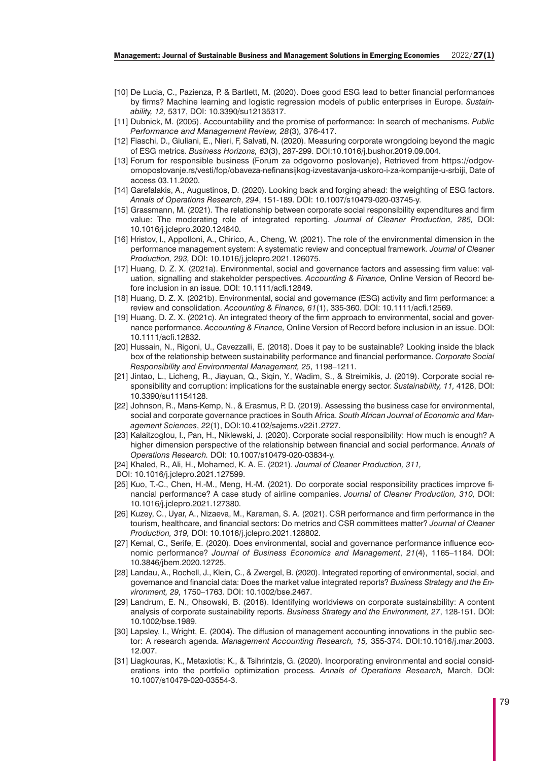- [10] De Lucia, C., Pazienza, P. & Bartlett, M. (2020). Does good ESG lead to better financial performances by firms? Machine learning and logistic regression models of public enterprises in Europe. *Sustainability, 12,* 5317, DOI: 10.3390/su12135317.
- [11] Dubnick, M. (2005). Accountability and the promise of performance: In search of mechanisms. *Public Performance and Management Review, 28*(3)*,* 376-417.
- [12] Fiaschi, D., Giuliani, E., Nieri, F, Salvati, N. (2020). Measuring corporate wrongdoing beyond the magic of ESG metrics. *Business Horizons, 63*(3), 287-299. DOI:10.1016/j.bushor.2019.09.004.
- [13] Forum for responsible business (Forum za odgovorno poslovanje), Retrieved from https://odgovornoposlovanje.rs/vesti/fop/obaveza-nefinansijkog-izvestavanja-uskoro-i-za-kompanije-u-srbiji, Date of access 03.11.2020.
- [14] Garefalakis, A., Augustinos, D. (2020). Looking back and forging ahead: the weighting of ESG factors. *Annals of Operations Research*, *294*, 151-189. DOI: 10.1007/s10479-020-03745-y.
- [15] Grassmann, M. (2021). The relationship between corporate social responsibility expenditures and firm value: The moderating role of integrated reporting. *Journal of Cleaner Production, 285,* DOI: 10.1016/j.jclepro.2020.124840.
- [16] Hristov, I., Appolloni, A., Chirico, A., Cheng, W. (2021). The role of the environmental dimension in the performance management system: A systematic review and conceptual framework. *Journal of Cleaner Production, 293,* DOI: 10.1016/j.jclepro.2021.126075.
- [17] Huang, D. Z. X. (2021a). Environmental, social and governance factors and assessing firm value: valuation, signalling and stakeholder perspectives. *Accounting & Finance,* Online Version of Record before inclusion in an issue*.* DOI: 10.1111/acfi.12849.
- [18] Huang, D. Z. X. (2021b). Environmental, social and governance (ESG) activity and firm performance: a review and consolidation. *Accounting & Finance, 61*(1), 335-360. DOI: 10.1111/acfi.12569.
- [19] Huang, D. Z. X. (2021c). An integrated theory of the firm approach to environmental, social and governance performance. *Accounting & Finance,* Online Version of Record before inclusion in an issue. DOI: 10.1111/acfi.12832.
- [20] Hussain, N., Rigoni, U., Cavezzalli, E. (2018). Does it pay to be sustainable? Looking inside the black box of the relationship between sustainability performance and financial performance. *Corporate Social Responsibility and Environmental Management, 25*, 1198–1211.
- [21] Jintao, L., Licheng, R., Jiayuan, Q., Siqin, Y., Wadim, S., & Streimikis, J. (2019). Corporate social responsibility and corruption: implications for the sustainable energy sector. *Sustainability, 11,* 4128, DOI: 10.3390/su11154128.
- [22] Johnson, R., Mans-Kemp, N., & Erasmus, P. D. (2019). Assessing the business case for environmental, social and corporate governance practices in South Africa. *South African Journal of Economic and Management Sciences*, *2*2(1), DOI:10.4102/sajems.v22i1.2727.
- [23] Kalaitzoglou, I., Pan, H., Niklewski, J. (2020). Corporate social responsibility: How much is enough? A higher dimension perspective of the relationship between financial and social performance. *Annals of Operations Research.* DOI: 10.1007/s10479-020-03834-y.
- [24] Khaled, R., Ali, H., Mohamed, K. A. E. (2021). *Journal of Cleaner Production, 311,*
- DOI: 10.1016/j.jclepro.2021.127599.
- [25] Kuo, T.-C., Chen, H.-M., Meng, H.-M. (2021). Do corporate social responsibility practices improve financial performance? A case study of airline companies. *Journal of Cleaner Production, 310,* DOI: 10.1016/j.jclepro.2021.127380.
- [26] Kuzey, C., Uyar, A., Nizaeva, M., Karaman, S. A. (2021). CSR performance and firm performance in the tourism, healthcare, and financial sectors: Do metrics and CSR committees matter? *Journal of Cleaner Production, 319,* DOI: 10.1016/j.jclepro.2021.128802.
- [27] Kemal, C., Serife, E. (2020). Does environmental, social and governance performance influence economic performance? *Journal of Business Economics and Management*, *21*(4), 1165–1184. DOI: 10.3846/jbem.2020.12725.
- [28] Landau, A., Rochell, J., Klein, C., & Zwergel, B. (2020). Integrated reporting of environmental, social, and governance and financial data: Does the market value integrated reports? *Business Strategy and the Environment, 29,* 1750–1763. DOI: 10.1002/bse.2467.
- [29] Landrum, E. N., Ohsowski, B. (2018). Identifying worldviews on corporate sustainability: A content analysis of corporate sustainability reports. *Business Strategy and the Environment, 27*, 128-151. DOI: 10.1002/bse.1989.
- [30] Lapsley, I., Wright, E. (2004). The diffusion of management accounting innovations in the public sector: A research agenda. *Management Accounting Research, 15,* 355-374. DOI:10.1016/j.mar.2003. 12.007.
- [31] Liagkouras, K., Metaxiotis; K., & Tsihrintzis, G. (2020). Incorporating environmental and social considerations into the portfolio optimization process*. Annals of Operations Research,* March, DOI: 10.1007/s10479-020-03554-3.